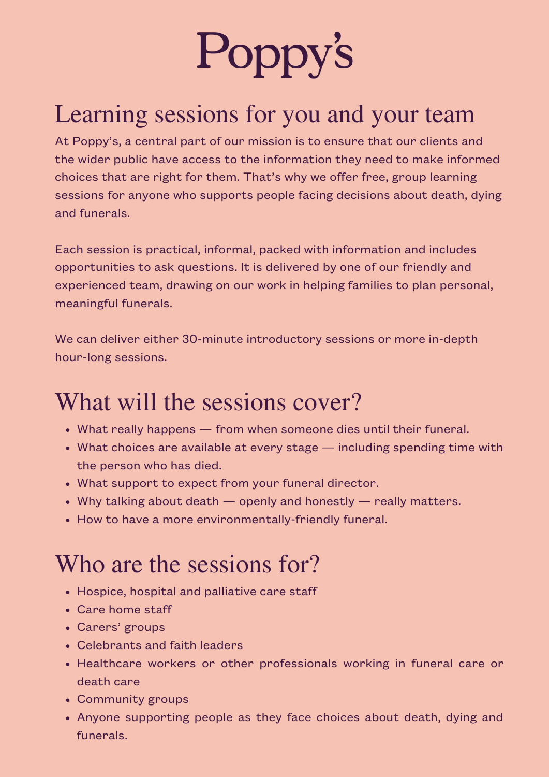

## Learning sessions for you and your team

At Poppy's, a central part of our mission is to ensure that our clients and the wider public have access to the information they need to make informed choices that are right for them. That's why we offer free, group learning sessions for anyone who supports people facing decisions about death, dying and funerals.

Each session is practical, informal, packed with information and includes opportunities to ask questions. It is delivered by one of our friendly and experienced team, drawing on our work in helping families to plan personal, meaningful funerals.

We can deliver either 30-minute introductory sessions or more in-depth hour-long sessions.

#### What will the sessions cover?

- What really happens from when someone dies until their funeral.
- What choices are available at every stage including spending time with the person who has died.
- What support to expect from your funeral director.
- Why talking about death openly and honestly really matters.
- How to have a more environmentally-friendly funeral.

### Who are the sessions for?

- Hospice, hospital and palliative care staff
- Care home staff
- Carers' groups
- Celebrants and faith leaders
- Healthcare workers or other professionals working in funeral care or death care
- Community groups
- Anyone supporting people as they face choices about death, dying and funerals.